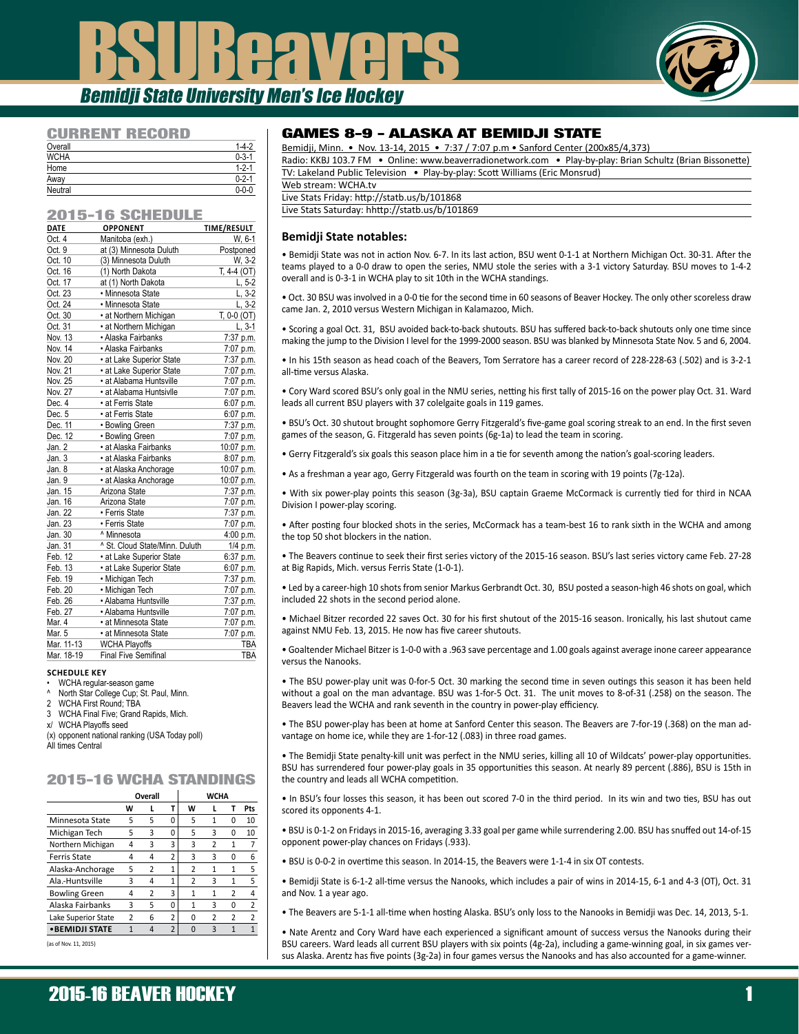# BSUBeavers Bemidji State University Men's Ice Hockey



### CURRENT RECORD

| Overall     | $1 - 4 - 2$ |
|-------------|-------------|
| <b>WCHA</b> | $0 - 3 - 1$ |
| Home        | $1 - 2 - 1$ |
| Away        | $0 - 2 - 1$ |
| Neutral     | $0 - 0 - 0$ |

### 2015-16 SCHEDULE

| --          | ----                           |               |
|-------------|--------------------------------|---------------|
| <b>DATE</b> | <b>OPPONENT</b>                | TIME/RESULT   |
| Oct. 4      | Manitoba (exh.)                | W, 6-1        |
| Oct. 9      | at (3) Minnesota Duluth        | Postponed     |
| Oct. 10     | (3) Minnesota Duluth           | W, 3-2        |
| Oct. 16     | (1) North Dakota               | $T. 4-4 (OT)$ |
| Oct. 17     | at (1) North Dakota            | $L, 5-2$      |
| Oct. 23     | • Minnesota State              | $L, 3-2$      |
| Oct. 24     | · Minnesota State              | $L, 3-2$      |
| Oct. 30     | • at Northern Michigan         | T, 0-0 (OT)   |
| Oct. 31     | • at Northern Michigan         | $L, 3-1$      |
| Nov. 13     | · Alaska Fairbanks             | 7:37 p.m.     |
| Nov. 14     | · Alaska Fairbanks             | 7:07 p.m.     |
| Nov. 20     | • at Lake Superior State       | 7:37 p.m.     |
| Nov. 21     | • at Lake Superior State       | 7:07 p.m.     |
| Nov. 25     | • at Alabama Huntsville        | 7:07 p.m.     |
| Nov. 27     | · at Alabama Huntsivlle        | 7:07 p.m.     |
| Dec. 4      | • at Ferris State              | 6:07 p.m.     |
| Dec. 5      | · at Ferris State              | 6:07 p.m.     |
| Dec. 11     | • Bowling Green                | 7:37 p.m.     |
| Dec. 12     | • Bowling Green                | 7:07 p.m.     |
| Jan. 2      | · at Alaska Fairbanks          | 10:07 p.m.    |
| Jan. 3      | • at Alaska Fairbanks          | 8:07 p.m.     |
| Jan. 8      | • at Alaska Anchorage          | 10:07 p.m.    |
| Jan. 9      | · at Alaska Anchorage          | 10:07 p.m.    |
| Jan. 15     | Arizona State                  | 7:37 p.m.     |
| Jan. 16     | Arizona State                  | 7:07 p.m.     |
| Jan. 22     | • Ferris State                 | 7:37 p.m.     |
| Jan. 23     | • Ferris State                 | 7:07 p.m.     |
| Jan. 30     | ^ Minnesota                    | 4:00 p.m.     |
| Jan. 31     | ^ St. Cloud State/Minn. Duluth | 1/4 p.m.      |
| Feb. 12     | • at Lake Superior State       | 6:37 p.m.     |
| Feb. 13     | • at Lake Superior State       | 6:07 p.m.     |
| Feb. 19     | • Michigan Tech                | 7:37 p.m.     |
| Feb. 20     | · Michigan Tech                | 7:07 p.m.     |
| Feb. 26     | • Alabama Huntsville           | 7:37 p.m.     |
| Feb. 27     | • Alabama Huntsville           | 7:07 p.m.     |
| Mar. 4      | • at Minnesota State           | 7:07 p.m.     |
| Mar. 5      | • at Minnesota State           | 7:07 p.m.     |
| Mar. 11-13  | <b>WCHA Playoffs</b>           | <b>TBA</b>    |
| Mar. 18-19  | <b>Final Five Semifinal</b>    | <b>TBA</b>    |
|             |                                |               |

#### **SCHEDULE KEY**

- WCHA regular-season game
- North Star College Cup; St. Paul, Minn.
- WCHA First Round; TBA 3 WCHA Final Five; Grand Rapids, Mich.
- x/ WCHA Playoffs seed
- (x) opponent national ranking (USA Today poll)

All times Central

### 2015-16 WCHA STANDINGS

|                      | Overall |   |                |   | <b>WCHA</b> |                |     |
|----------------------|---------|---|----------------|---|-------------|----------------|-----|
|                      | w       | L | т              | w |             | Τ              | Pts |
| Minnesota State      | 5       | 5 | 0              | 5 | 1           | 0              | 10  |
| Michigan Tech        | 5       | 3 | 0              | 5 | 3           | 0              | 10  |
| Northern Michigan    | 4       | 3 | 3              | 3 | 2           | $\mathbf{1}$   |     |
| Ferris State         | 4       | 4 | 2              | 3 | ς           | 0              | 6   |
| Alaska-Anchorage     | 5       | 2 | $\mathbf{1}$   | 2 | 1           | 1              | 5   |
| Ala.-Huntsville      | 3       | 4 | 1              | 2 | 3           | $\mathbf{1}$   | 5   |
| <b>Bowling Green</b> | 4       | 2 | 3              | 1 | 1           | $\overline{2}$ | 4   |
| Alaska Fairbanks     | 3       | 5 | 0              | 1 | ς           | 0              | 2   |
| Lake Superior State  | 2       | 6 | 2              | 0 | 2           | $\overline{2}$ | 2   |
| • BEMIDJI STATE      | 1       | 4 | $\overline{2}$ | O | ς           | 1              |     |

(as of Nov. 11, 2015)

### GAMES 8-9 - ALASKA AT BEMIDJI STATE

| Bemidii, Minn. • Nov. 13-14, 2015 • 7:37 / 7:07 p.m • Sanford Center (200x85/4,373)                        |
|------------------------------------------------------------------------------------------------------------|
| Radio: KKBJ 103.7 FM • Online: www.beaverradionetwork.com • Play-by-play: Brian Schultz (Brian Bissonette) |
| TV: Lakeland Public Television • Play-by-play: Scott Williams (Eric Monsrud)                               |
| Web stream: WCHA.tv                                                                                        |
| Live Stats Friday: http://statb.us/b/101868                                                                |
| Live Stats Saturday: hhttp://statb.us/b/101869                                                             |

### **Bemidji State notables:**

• Bemidji State was not in action Nov. 6-7. In its last action, BSU went 0-1-1 at Northern Michigan Oct. 30-31. After the teams played to a 0-0 draw to open the series, NMU stole the series with a 3-1 victory Saturday. BSU moves to 1-4-2 overall and is 0-3-1 in WCHA play to sit 10th in the WCHA standings.

• Oct. 30 BSU was involved in a 0-0 tie for the second time in 60 seasons of Beaver Hockey. The only other scoreless draw came Jan. 2, 2010 versus Western Michigan in Kalamazoo, Mich.

• Scoring a goal Oct. 31, BSU avoided back-to-back shutouts. BSU has suffered back-to-back shutouts only one time since making the jump to the Division I level for the 1999-2000 season. BSU was blanked by Minnesota State Nov. 5 and 6, 2004.

• In his 15th season as head coach of the Beavers, Tom Serratore has a career record of 228-228-63 (.502) and is 3-2-1 all-time versus Alaska.

• Cory Ward scored BSU's only goal in the NMU series, netting his first tally of 2015-16 on the power play Oct. 31. Ward leads all current BSU players with 37 colelgaite goals in 119 games.

• BSU's Oct. 30 shutout brought sophomore Gerry Fitzgerald's five-game goal scoring streak to an end. In the first seven games of the season, G. Fitzgerald has seven points (6g-1a) to lead the team in scoring.

• Gerry Fitzgerald's six goals this season place him in a tie for seventh among the nation's goal-scoring leaders.

• As a freshman a year ago, Gerry Fitzgerald was fourth on the team in scoring with 19 points (7g-12a).

• With six power-play points this season (3g-3a), BSU captain Graeme McCormack is currently tied for third in NCAA Division I power-play scoring.

• After posting four blocked shots in the series, McCormack has a team-best 16 to rank sixth in the WCHA and among the top 50 shot blockers in the nation.

• The Beavers continue to seek their first series victory of the 2015-16 season. BSU's last series victory came Feb. 27-28 at Big Rapids, Mich. versus Ferris State (1-0-1).

• Led by a career-high 10 shots from senior Markus Gerbrandt Oct. 30, BSU posted a season-high 46 shots on goal, which included 22 shots in the second period alone.

• Michael Bitzer recorded 22 saves Oct. 30 for his first shutout of the 2015-16 season. Ironically, his last shutout came against NMU Feb. 13, 2015. He now has five career shutouts.

• Goaltender Michael Bitzer is 1-0-0 with a .963 save percentage and 1.00 goals against average inone career appearance versus the Nanooks.

• The BSU power-play unit was 0-for-5 Oct. 30 marking the second time in seven outings this season it has been held without a goal on the man advantage. BSU was 1-for-5 Oct. 31. The unit moves to 8-of-31 (.258) on the season. The Beavers lead the WCHA and rank seventh in the country in power-play efficiency.

• The BSU power-play has been at home at Sanford Center this season. The Beavers are 7-for-19 (.368) on the man advantage on home ice, while they are 1-for-12 (.083) in three road games.

• The Bemidji State penalty-kill unit was perfect in the NMU series, killing all 10 of Wildcats' power-play opportunities. BSU has surrendered four power-play goals in 35 opportunities this season. At nearly 89 percent (.886), BSU is 15th in the country and leads all WCHA competition.

• In BSU's four losses this season, it has been out scored 7-0 in the third period. In its win and two ties, BSU has out scored its opponents 4-1.

• BSU is 0-1-2 on Fridays in 2015-16, averaging 3.33 goal per game while surrendering 2.00. BSU has snuffed out 14-of-15 opponent power-play chances on Fridays (.933).

• BSU is 0-0-2 in overtime this season. In 2014-15, the Beavers were 1-1-4 in six OT contests.

• Bemidji State is 6-1-2 all-time versus the Nanooks, which includes a pair of wins in 2014-15, 6-1 and 4-3 (OT), Oct. 31 and Nov. 1 a year ago.

• The Beavers are 5-1-1 all-time when hosting Alaska. BSU's only loss to the Nanooks in Bemidji was Dec. 14, 2013, 5-1.

• Nate Arentz and Cory Ward have each experienced a significant amount of success versus the Nanooks during their BSU careers. Ward leads all current BSU players with six points (4g-2a), including a game-winning goal, in six games versus Alaska. Arentz has five points (3g-2a) in four games versus the Nanooks and has also accounted for a game-winner.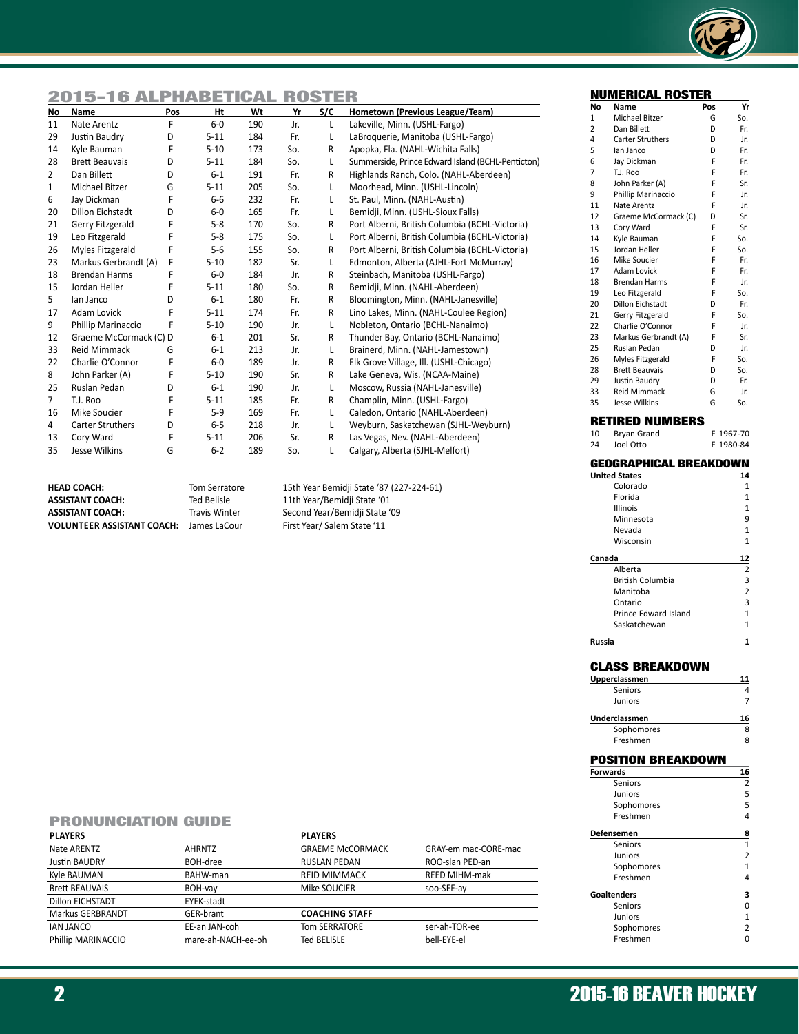

### 2015-16 ALPHABETICAL ROSTER

| No             | Name                    | Pos | Ht       | Wt  | Yr  | S/C          | Hometown (Previous League/Team)                   |
|----------------|-------------------------|-----|----------|-----|-----|--------------|---------------------------------------------------|
| 11             | Nate Arentz             | F   | $6-0$    | 190 | Jr. | L            | Lakeville, Minn. (USHL-Fargo)                     |
| 29             | Justin Baudry           | D   | $5 - 11$ | 184 | Fr. | L            | LaBroquerie, Manitoba (USHL-Fargo)                |
| 14             | Kyle Bauman             | F   | $5 - 10$ | 173 | So. | R            | Apopka, Fla. (NAHL-Wichita Falls)                 |
| 28             | <b>Brett Beauvais</b>   | D   | $5 - 11$ | 184 | So. | L            | Summerside, Prince Edward Island (BCHL-Penticton) |
| $\overline{2}$ | Dan Billett             | D   | $6 - 1$  | 191 | Fr. | R            | Highlands Ranch, Colo. (NAHL-Aberdeen)            |
| 1              | Michael Bitzer          | G   | $5 - 11$ | 205 | So. | L            | Moorhead, Minn. (USHL-Lincoln)                    |
| 6              | Jay Dickman             | F   | $6-6$    | 232 | Fr. | L            | St. Paul, Minn. (NAHL-Austin)                     |
| 20             | <b>Dillon Eichstadt</b> | D   | $6-0$    | 165 | Fr. | L            | Bemidii, Minn. (USHL-Sioux Falls)                 |
| 21             | Gerry Fitzgerald        | F   | $5 - 8$  | 170 | So. | R            | Port Alberni, British Columbia (BCHL-Victoria)    |
| 19             | Leo Fitzgerald          | F   | $5 - 8$  | 175 | So. | L            | Port Alberni, British Columbia (BCHL-Victoria)    |
| 26             | Myles Fitzgerald        | F   | $5-6$    | 155 | So. | R            | Port Alberni, British Columbia (BCHL-Victoria)    |
| 23             | Markus Gerbrandt (A)    | F   | $5 - 10$ | 182 | Sr. | L            | Edmonton, Alberta (AJHL-Fort McMurray)            |
| 18             | <b>Brendan Harms</b>    | F   | $6-0$    | 184 | Jr. | R            | Steinbach, Manitoba (USHL-Fargo)                  |
| 15             | Jordan Heller           | F   | $5 - 11$ | 180 | So. | R            | Bemidji, Minn. (NAHL-Aberdeen)                    |
| 5              | lan Janco               | D   | $6 - 1$  | 180 | Fr. | R            | Bloomington, Minn. (NAHL-Janesville)              |
| 17             | Adam Lovick             | F   | $5 - 11$ | 174 | Fr. | R            | Lino Lakes, Minn. (NAHL-Coulee Region)            |
| 9              | Phillip Marinaccio      | F   | $5 - 10$ | 190 | Jr. | L            | Nobleton, Ontario (BCHL-Nanaimo)                  |
| 12             | Graeme McCormack (C) D  |     | $6 - 1$  | 201 | Sr. | R            | Thunder Bay, Ontario (BCHL-Nanaimo)               |
| 33             | <b>Reid Mimmack</b>     | G   | $6 - 1$  | 213 | Jr. | L            | Brainerd, Minn. (NAHL-Jamestown)                  |
| 22             | Charlie O'Connor        | F   | $6-0$    | 189 | Jr. | R            | Elk Grove Village, Ill. (USHL-Chicago)            |
| 8              | John Parker (A)         | F   | $5 - 10$ | 190 | Sr. | R            | Lake Geneva, Wis. (NCAA-Maine)                    |
| 25             | Ruslan Pedan            | D   | $6 - 1$  | 190 | Jr. | L            | Moscow, Russia (NAHL-Janesville)                  |
| $\overline{7}$ | T.J. Roo                | F   | $5 - 11$ | 185 | Fr. | R            | Champlin, Minn. (USHL-Fargo)                      |
| 16             | Mike Soucier            | F   | $5-9$    | 169 | Fr. | L            | Caledon, Ontario (NAHL-Aberdeen)                  |
| 4              | <b>Carter Struthers</b> | D   | $6-5$    | 218 | Jr. | L            | Weyburn, Saskatchewan (SJHL-Weyburn)              |
| 13             | Cory Ward               | F   | $5 - 11$ | 206 | Sr. | $\mathsf{R}$ | Las Vegas, Nev. (NAHL-Aberdeen)                   |
| 35             | <b>Jesse Wilkins</b>    | G   | $6 - 2$  | 189 | So. | L            | Calgary, Alberta (SJHL-Melfort)                   |

| <b>HEAD COACH:</b>                | Tom Serratore        | 15th Year Bemidji State '87 (227-224-61) |
|-----------------------------------|----------------------|------------------------------------------|
| <b>ASSISTANT COACH:</b>           | Ted Belisle          | 11th Year/Bemidji State '01              |
| <b>ASSISTANT COACH:</b>           | <b>Travis Winter</b> | Second Year/Bemidii State '09            |
| <b>VOLUNTEER ASSISTANT COACH:</b> | James LaCour         | First Year/ Salem State '11              |

### PRONUNCIATION GUIDE

| <b>PLAYERS</b>        |                    | <b>PLAYERS</b>          |                      |
|-----------------------|--------------------|-------------------------|----------------------|
| Nate ARENTZ           | <b>AHRNTZ</b>      | <b>GRAEME MCCORMACK</b> | GRAY-em mac-CORE-mac |
| Justin BAUDRY         | BOH-dree           | <b>RUSLAN PEDAN</b>     | ROO-slan PED-an      |
| Kyle BAUMAN           | BAHW-man           | <b>REID MIMMACK</b>     | <b>REED MIHM-mak</b> |
| <b>Brett BEAUVAIS</b> | BOH-vay            | Mike SOUCIER            | soo-SEE-ay           |
| Dillon EICHSTADT      | EYEK-stadt         |                         |                      |
| Markus GERBRANDT      | GER-brant          | <b>COACHING STAFF</b>   |                      |
| <b>JAN JANCO</b>      | EE-an JAN-coh      | <b>Tom SERRATORE</b>    | ser-ah-TOR-ee        |
| Phillip MARINACCIO    | mare-ah-NACH-ee-oh | Ted BELISLE             | bell-EYE-el          |
|                       |                    |                         |                      |

|--|

|        | <u>NUMERICAL</u><br><u>KUSIEK</u> |     |         |
|--------|-----------------------------------|-----|---------|
| No     | Name                              | Pos | Yr      |
| 1      | Michael Bitzer                    | G   | So.     |
| 2      | Dan Billett                       | D   | Fr.     |
| 4      | <b>Carter Struthers</b>           | D   | Jr.     |
| 5      | lan Janco                         | D   | Fr.     |
| 6      | Jay Dickman                       | F   | Fr.     |
| 7      | T.J. Roo                          | F   | Fr.     |
| 8      | John Parker (A)                   | F   | Sr.     |
| 9      | Phillip Marinaccio                | F   | Jr.     |
| 11     | Nate Arentz                       | F   | Jr.     |
| 12     | Graeme McCormack (C)              | D   | Sr.     |
| 13     | Cory Ward                         | F   | Sr.     |
| 14     | Kyle Bauman                       | F   | So.     |
| 15     | Jordan Heller                     | F   | So.     |
| 16     | Mike Soucier                      | F   | Fr.     |
| 17     | Adam Lovick                       | F   | Fr.     |
| 18     | <b>Brendan Harms</b>              | F   | Jr.     |
| 19     | Leo Fitzgerald                    | F   | So.     |
| 20     | Dillon Eichstadt                  | D   | Fr.     |
| 21     | Gerry Fitzgerald                  | F   | So.     |
| 22     | Charlie O'Connor                  | F   | Jr.     |
| 23     | Markus Gerbrandt (A)              | F   | Sr.     |
| 25     | Ruslan Pedan                      | D   | Jr.     |
| 26     | Myles Fitzgerald                  | F   | So.     |
| 28     | <b>Brett Beauvais</b>             | D   | So.     |
| 29     | Justin Baudry                     | D   | Fr.     |
| 33     | <b>Reid Mimmack</b>               | G   | Jr.     |
| 35     | <b>Jesse Wilkins</b>              | G   | So.     |
|        | <b>RETIRED NUMBERS</b>            |     |         |
|        |                                   |     |         |
| 10     | Bryan Grand                       | F   | 1967-70 |
| 24     | Joel Otto                         | F   | 1980-84 |
|        | GEOGRAPHICAL BREAKDOWN            |     |         |
|        | <b>United States</b>              |     | 14      |
|        | Colorado                          |     | 1       |
|        | Florida                           |     | 1       |
|        | Illinois                          |     | 1       |
|        | Minnesota                         |     | 9       |
|        | Nevada                            |     | 1       |
|        | Wisconsin                         |     | 1       |
|        |                                   |     |         |
| Canada |                                   |     | 12      |
|        | Alberta                           |     | 2       |
|        | British Columbia                  |     | 3       |
|        | Manitoba                          |     | 2       |
|        | Ontario                           |     | 3       |
|        | Prince Edward Island              |     | 1       |
|        | Saskatchewan                      |     | 1       |
|        |                                   |     |         |
| Russia |                                   |     | 1       |
|        |                                   |     |         |
|        | <b>CLASS BREAKDOWN</b>            |     |         |
|        | Upperclassmen                     |     | 11      |
|        | Seniors                           |     | 4       |
|        | Juniors                           |     | 7       |
|        | Underclassmen                     |     | 16      |
|        | Sophomores                        |     | 8       |
|        | Freshmen                          |     | 8       |
|        |                                   |     |         |
|        | POSITION BREAKDOWN                |     |         |
|        | <b>Forwards</b>                   |     | 16      |
|        | Seniors                           |     | 2       |
|        | Juniors                           |     | 5       |
|        | Sophomores                        |     | 5       |
|        | Freshmen                          |     | 4       |
|        |                                   |     |         |
|        | Defensemen                        |     | 8       |
|        | Seniors                           |     | 1       |
|        | Juniors                           |     | 2       |
|        | Sophomores                        |     | 1       |
|        | Freshmen                          |     | 4       |
|        | Goaltenders                       |     | з       |
|        | Seniors                           |     | 0       |
|        | Juniors                           |     | 1       |
|        | Sophomores                        |     | 2       |
|        | Freshmen                          |     | 0       |
|        |                                   |     |         |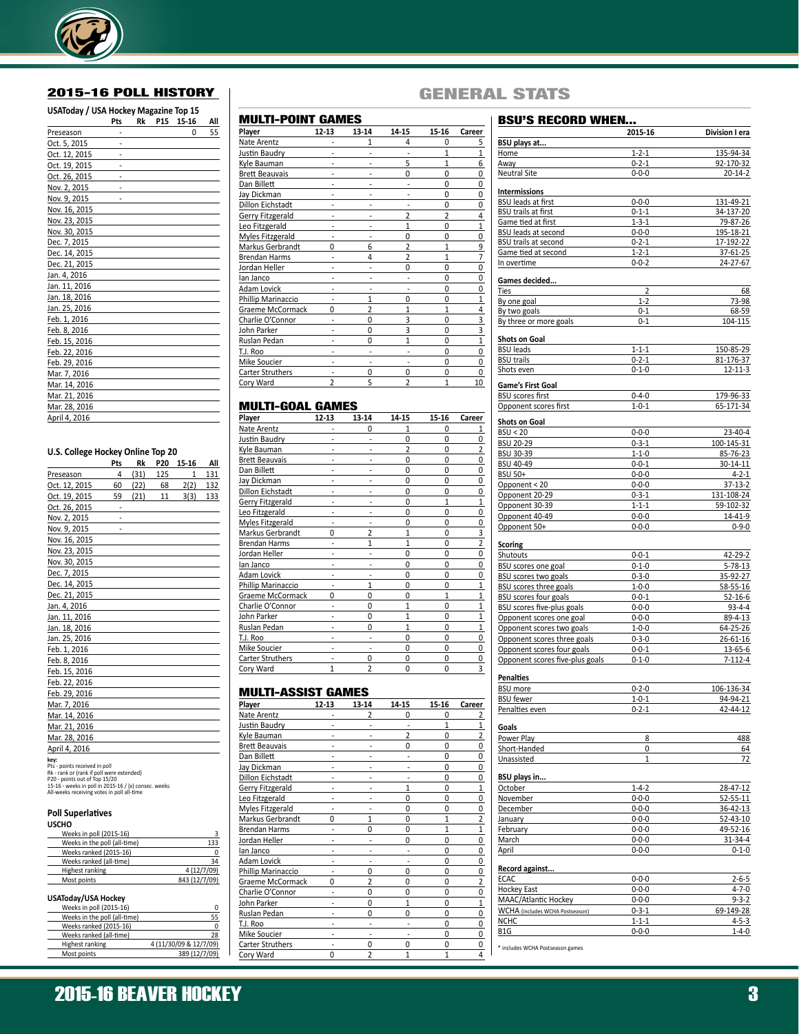

### 2015-16 POLL HISTORY

### **USAToday / USA Hockey Magazine Top 15**

|               | Pts | Rk | P15 | 15-16 | All |
|---------------|-----|----|-----|-------|-----|
| Preseason     |     |    |     | 0     | 55  |
| Oct. 5, 2015  |     |    |     |       |     |
| Oct. 12, 2015 |     |    |     |       |     |
| Oct. 19, 2015 |     |    |     |       |     |
| Oct. 26, 2015 |     |    |     |       |     |
| Nov. 2, 2015  |     |    |     |       |     |
| Nov. 9, 2015  |     |    |     |       |     |
| Nov. 16, 2015 |     |    |     |       |     |
| Nov. 23, 2015 |     |    |     |       |     |
| Nov. 30, 2015 |     |    |     |       |     |
| Dec. 7, 2015  |     |    |     |       |     |
| Dec. 14, 2015 |     |    |     |       |     |
| Dec. 21, 2015 |     |    |     |       |     |
| Jan. 4, 2016  |     |    |     |       |     |
| Jan. 11, 2016 |     |    |     |       |     |
| Jan. 18, 2016 |     |    |     |       |     |
| Jan. 25, 2016 |     |    |     |       |     |
| Feb. 1, 2016  |     |    |     |       |     |
| Feb. 8, 2016  |     |    |     |       |     |
| Feb. 15, 2016 |     |    |     |       |     |
| Feb. 22, 2016 |     |    |     |       |     |
| Feb. 29, 2016 |     |    |     |       |     |
| Mar. 7, 2016  |     |    |     |       |     |
| Mar. 14, 2016 |     |    |     |       |     |
| Mar. 21, 2016 |     |    |     |       |     |
| Mar. 28, 2016 |     |    |     |       |     |
| April 4, 2016 |     |    |     |       |     |

### **U.S. College Hockey Online Top 20**

|                                                                                                                                                                                                                           | Pts | Rk   | P20 | 15-16        | All |
|---------------------------------------------------------------------------------------------------------------------------------------------------------------------------------------------------------------------------|-----|------|-----|--------------|-----|
| Preseason                                                                                                                                                                                                                 | 4   | (31) | 125 | $\mathbf{1}$ | 131 |
| Oct. 12, 2015                                                                                                                                                                                                             | 60  | (22) | 68  | 2(2)         | 132 |
| Oct. 19, 2015                                                                                                                                                                                                             | 59  | (21) | 11  | 3(3)         | 133 |
| Oct. 26, 2015                                                                                                                                                                                                             |     |      |     |              |     |
| Nov. 2, 2015                                                                                                                                                                                                              |     |      |     |              |     |
| Nov. 9, 2015                                                                                                                                                                                                              |     |      |     |              |     |
| Nov. 16, 2015                                                                                                                                                                                                             |     |      |     |              |     |
| Nov. 23, 2015                                                                                                                                                                                                             |     |      |     |              |     |
| Nov. 30, 2015                                                                                                                                                                                                             |     |      |     |              |     |
| Dec. 7, 2015                                                                                                                                                                                                              |     |      |     |              |     |
| Dec. 14, 2015                                                                                                                                                                                                             |     |      |     |              |     |
| Dec. 21, 2015                                                                                                                                                                                                             |     |      |     |              |     |
| Jan. 4, 2016                                                                                                                                                                                                              |     |      |     |              |     |
| Jan. 11, 2016                                                                                                                                                                                                             |     |      |     |              |     |
| Jan. 18, 2016                                                                                                                                                                                                             |     |      |     |              |     |
| Jan. 25, 2016                                                                                                                                                                                                             |     |      |     |              |     |
| Feb. 1, 2016                                                                                                                                                                                                              |     |      |     |              |     |
| Feb. 8, 2016                                                                                                                                                                                                              |     |      |     |              |     |
| Feb. 15, 2016                                                                                                                                                                                                             |     |      |     |              |     |
| Feb. 22, 2016                                                                                                                                                                                                             |     |      |     |              |     |
| Feb. 29, 2016                                                                                                                                                                                                             |     |      |     |              |     |
| Mar. 7, 2016                                                                                                                                                                                                              |     |      |     |              |     |
| Mar. 14, 2016                                                                                                                                                                                                             |     |      |     |              |     |
| Mar. 21, 2016                                                                                                                                                                                                             |     |      |     |              |     |
| Mar. 28, 2016                                                                                                                                                                                                             |     |      |     |              |     |
| April 4, 2016                                                                                                                                                                                                             |     |      |     |              |     |
| key:<br>Pts - points received in poll<br>Rk - rank or (rank if poll were extended)<br>P20 - points out of Top 15/20<br>15-16 - weeks in poll in 2015-16 / (x) consec. weeks<br>All-weeks receiving votes in poll all-time |     |      |     |              |     |

#### **Poll Superlatives USCHO**

| -----                        |               |
|------------------------------|---------------|
| Weeks in poll (2015-16)      |               |
| Weeks in the poll (all-time) | 133           |
| Weeks ranked (2015-16)       | Ω             |
| Weeks ranked (all-time)      | 34            |
| Highest ranking              | 4 (12/7/09)   |
| Most points                  | 843 (12/7/09) |
|                              |               |

### **USAToday/USA Hockey**

| Weeks in poll (2015-16)      | Ω                      |
|------------------------------|------------------------|
| Weeks in the poll (all-time) | 55                     |
| Weeks ranked (2015-16)       | Ω                      |
| Weeks ranked (all-time)      | 28                     |
| Highest ranking              | 4 (11/30/09 & 12/7/09) |
| Most points                  | 389 (12/7/09)          |

### MULTI-POINT GAMES

| Player                | 12-13    | 13-14          | $14 - 15$      | 15-16          | Career                  |
|-----------------------|----------|----------------|----------------|----------------|-------------------------|
| Nate Arentz           |          | 1              | 4              | 0              | 5                       |
| Justin Baudry         |          |                |                | 1              | $\mathbf{1}$            |
| Kyle Bauman           |          |                | 5              | 1              | 6                       |
| <b>Brett Beauvais</b> |          |                | $\Omega$       | $\Omega$       | 0                       |
| Dan Billett           |          |                |                | 0              | 0                       |
| Jay Dickman           |          |                |                | $\Omega$       | 0                       |
| Dillon Eichstadt      |          |                |                | 0              | 0                       |
| Gerry Fitzgerald      |          |                | $\overline{2}$ | $\overline{2}$ | 4                       |
| Leo Fitzgerald        |          |                |                | O              | $\mathbf{1}$            |
| Myles Fitzgerald      |          |                | $\Omega$       | $\Omega$       | 0                       |
| Markus Gerbrandt      | $\Omega$ | 6              | 2              | 1              | 9                       |
| Brendan Harms         |          | 4              | $\mathfrak{p}$ | 1              | 7                       |
| Jordan Heller         |          |                | 0              | $\Omega$       | 0                       |
| lan Janco             |          |                |                | $\Omega$       | 0                       |
| Adam Lovick           |          |                |                | $\Omega$       | 0                       |
| Phillip Marinaccio    | -        | 1              | 0              | 0              | $\mathbf 1$             |
| Graeme McCormack      | 0        | $\overline{2}$ | 1              | 1              | 4                       |
| Charlie O'Connor      |          | 0              | 3              | 0              | 3                       |
| John Parker           |          | $\Omega$       | 3              | $\Omega$       | $\overline{\mathbf{3}}$ |
| Ruslan Pedan          |          | $\Omega$       | $\mathbf{1}$   | 0              | $\mathbf{1}$            |
| T.J. Roo              |          |                |                | 0              | 0                       |
| Mike Soucier          |          |                |                | 0              | 0                       |
| Carter Struthers      | Ĭ.       | 0              | 0              | 0              | 0                       |
| Cory Ward             | 2        | 5              | $\overline{2}$ | 1              | 10                      |
|                       |          |                |                |                |                         |

### MULTI-GOAL GAMES

| Player                | 12-13          | 13-14          | 14-15          | 15-16        | Career                  |
|-----------------------|----------------|----------------|----------------|--------------|-------------------------|
| Nate Arentz           |                | 0              |                | 0            | 1                       |
| Justin Baudry         |                |                | $\Omega$       | $\Omega$     | 0                       |
| Kyle Bauman           |                |                | $\overline{2}$ | 0            | $\overline{\mathbf{c}}$ |
| <b>Brett Beauvais</b> |                |                | 0              | 0            | 0                       |
| Dan Billett           |                |                | $\Omega$       | $\Omega$     | 0                       |
| Jay Dickman           |                |                | $\Omega$       | 0            | 0                       |
| Dillon Eichstadt      |                |                | 0              | 0            | 0                       |
| Gerry Fitzgerald      |                |                | $\Omega$       | $\mathbf{1}$ | $\mathbf 1$             |
| Leo Fitzgerald        |                |                | 0              | $\Omega$     | 0                       |
| Myles Fitzgerald      |                |                | 0              | $\Omega$     | 0                       |
| Markus Gerbrandt      | 0              | 2              | 1              | 0            | 3                       |
| <b>Brendan Harms</b>  |                | $\mathbf{1}$   | $\mathbf{1}$   | 0            | $\overline{2}$          |
| Jordan Heller         |                |                | $\Omega$       | 0            | 0                       |
| lan Janco             |                |                | $\Omega$       | 0            | 0                       |
| Adam Lovick           |                |                | 0              | 0            | 0                       |
| Phillip Marinaccio    |                | 1              | $\Omega$       | $\Omega$     | 1                       |
| Graeme McCormack      | 0              | 0              | 0              | $\mathbf{1}$ | $\mathbf{1}$            |
| Charlie O'Connor      |                | 0              | 1              | 0            | $\overline{1}$          |
| John Parker           |                | $\Omega$       |                | $\Omega$     | 1                       |
| Ruslan Pedan          |                | 0              | 1              | 0            | $\mathbf{1}$            |
| T.J. Roo              |                |                | $\Omega$       | 0            | 0                       |
| Mike Soucier          |                |                | $\Omega$       | 0            | 0                       |
| Carter Struthers      |                | 0              | $\Omega$       | 0            | 0                       |
| Cory Ward             | $\overline{1}$ | $\overline{2}$ | $\Omega$       | 0            | 3                       |

### MULTI-ASSIST GAMES

| Player                  | $12 - 13$ | 13-14          | 14-15    | 15-16        | Career         |
|-------------------------|-----------|----------------|----------|--------------|----------------|
| Nate Arentz             |           | 2              | 0        | 0            | 2              |
| Justin Baudry           |           |                |          | 1            | $\overline{1}$ |
| Kyle Bauman             |           |                | 2        | $\Omega$     | $\overline{2}$ |
| <b>Brett Beauvais</b>   |           |                | $\Omega$ | $\Omega$     | 0              |
| Dan Billett             |           |                |          | $\Omega$     | 0              |
| Jay Dickman             |           |                |          | $\Omega$     | 0              |
| <b>Dillon Eichstadt</b> |           |                |          | $\Omega$     | 0              |
| Gerry Fitzgerald        |           |                | 1        | $\Omega$     | $\overline{1}$ |
| Leo Fitzgerald          |           |                | 0        | $\Omega$     | 0              |
| Myles Fitzgerald        |           |                | $\Omega$ | $\Omega$     | 0              |
| Markus Gerbrandt        | U         | 1              | 0        | $\mathbf{1}$ | 2              |
| <b>Brendan Harms</b>    |           | U              | $\Omega$ | 1            | $\overline{1}$ |
| Jordan Heller           |           |                | 0        | 0            | 0              |
| lan Janco               |           |                |          | 0            | 0              |
| Adam Lovick             |           |                |          | 0            | 0              |
| Phillip Marinaccio      |           | 0              | 0        | 0            | 0              |
| Graeme McCormack        | 0         |                | 0        | 0            | 2              |
| Charlie O'Connor        |           | ŋ              | ŋ        | 0            | 0              |
| John Parker             |           | $\Omega$       | 1        | 0            | $\overline{1}$ |
| Ruslan Pedan            |           | U              | 0        | 0            | 0              |
| T.J. Roo                |           |                |          | 0            | 0              |
| Mike Soucier            |           |                |          | 0            | 0              |
| <b>Carter Struthers</b> |           | ŋ              | ŋ        | O            | 0              |
| Cory Ward               | $\Omega$  | $\overline{2}$ | 1        | $\mathbf{1}$ | 4              |

### GENERAL STATS

### BSU'S RECORD WHEN... **2015-16 Division I era BSU plays at...** Home 1-2-1 135-94-34 Away 0-2-1 92-170-32 Neutral Site 0-0-0 20-14-2 **Intermissions** BSU leads at first 0-0-0 131-49-21<br>
BSU trails at first 0-1-1 34-137-20 BSU trails at first Game tied at first 1-3-1 79-87-26 BSU leads at second 0-0-0 195-18-21 BSU trails at second 0-2-1 17-192-22 Game tied at second 1-2-1 37-61-25 In overtime 0-0-2 24-27-67 **Games decided... Ties** 68 By one goal 23-98 By two goals 68-59 By three or more goals  $0-1$   $104-115$ **Shots on Goal** BSU leads 1-1-1 150-85-29 BSU trails 0-2-1 81-176-37 Shots even 0-1-0 0-1-0 12-11-3 **Game's First Goal** BSU scores first 0-4-0 179-96-33<br>
Opponent scores first 1-0-1 65-171-34 Opponent scores first **Shots on Goal** BSU < 20 23-40-4 BSU 20-29 0-3-1 100-145-31 85U 30-39 1-1-0 85-76-23<br>8SU 40-49 0-0-1 30-14-11 BSU 40-49 BSU 50+ 0-0-0 4-2-1 Opponent < 20 0-0-0 37-13-2 Opponent 20-29 Opponent 30-39 1-1-1 59-102-32<br>Opponent 40-49 0-0-0 14-41-9 Opponent 40-49 0-0-0 14-41-9<br>Opponent 50+ 0-0-0 0-9-0 0-9-0 Opponent 50+ **Scoring** Shutouts 0-0-1 42-29-2<br>BSU scores one goal 0-1-0 5-78-13 BSU scores one goal BSU scores two goals 0-3-0 35-92-27 BSU scores three goals 1-0-0 58-55-16 BSU scores four goals 0-0-1 52-16-6 BSU scores five-plus goals 0-0-0 93-4-4 Opponent scores one goal 0-0-0 89-4-13<br>
Opponent scores two goals<br>
1-0-0 64-25-26 Opponent scores two goals 1-0-0 64-25-26 Opponent scores three goals 0-3-0 26-61-16 Opponent scores four goals 0-0-1 13-65-6 Opponent scores five-plus goals 0-1-0 7-112-4 **Penalties**  $\begin{array}{r@{\hspace{1em}}c@{\hspace{1em}}c@{\hspace{1em}}c@{\hspace{1em}}c@{\hspace{1em}}c@{\hspace{1em}}c@{\hspace{1em}}c@{\hspace{1em}}c@{\hspace{1em}}c@{\hspace{1em}}c@{\hspace{1em}}c@{\hspace{1em}}c@{\hspace{1em}}c@{\hspace{1em}}c@{\hspace{1em}}c@{\hspace{1em}}c@{\hspace{1em}}c@{\hspace{1em}}c@{\hspace{1em}}c@{\hspace{1em}}c@{\hspace{1em}}c@{\hspace{1em}}c@{\hspace{1em}}c@{\hspace{1em$ Penalties even 1-0-1 94-94-21<br>
Penalties even 0-2-1 42-44-12 Penalties even **Goals** Power Play 8 488 Short-Handed 64 Unassisted 1 72 **BSU plays in...** October 1-4-2 28-47-12 November 0-0-0 52-55-11<br>December 0-0-0 36-42-13 December January 0-0-0 52-43-10 February 0-0-0 49-52-16<br>
March 0-0-0 31-34-4 31-34-4 April 0-0-0 0-1-0 **Record against...** ECAC 0-0-0 2-6-5 Hockey East 0-0-0 4-7-0 MAAC/Atlantic Hockey 0-0-0 9-3-2<br>WCHA (includes WCHA Postseason) 0-3-1 69-149-28 WCHA (includes WCHA Postseason) NCHC 1-1-1 4-5-3 B1G 0-0-0 1-4-0 \* includes WCHA Postseason games

## 2015-16 BEAVER HOCKEY 3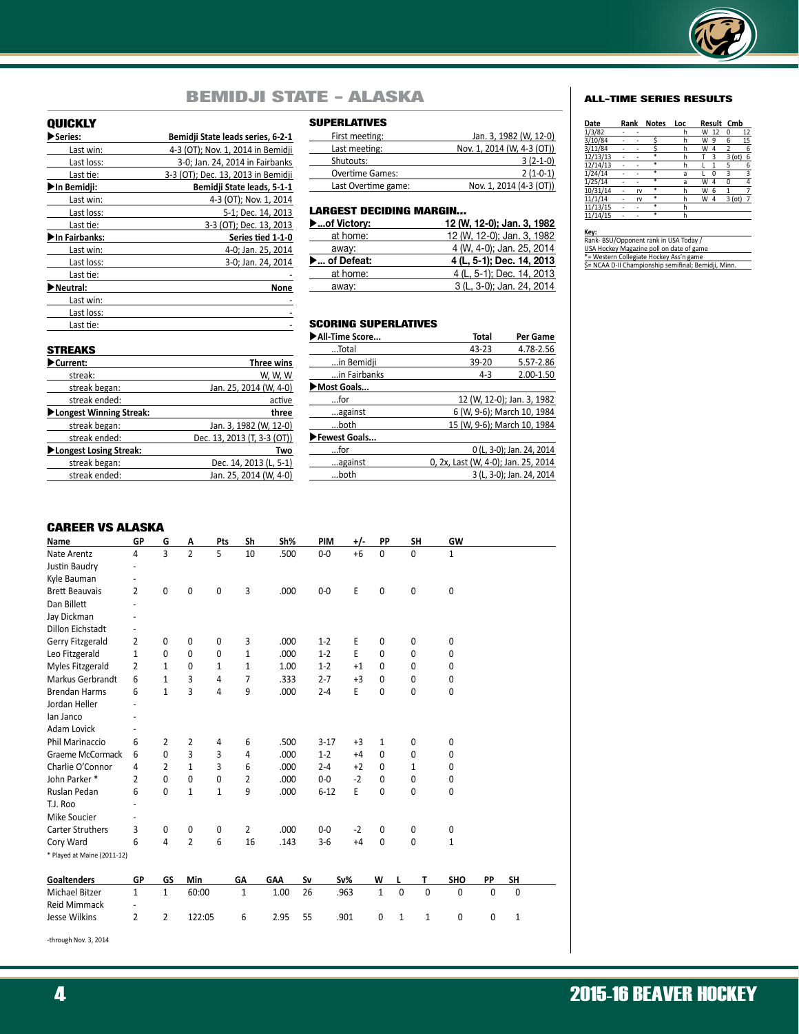

## BEMIDJI STATE - ALASKA ALL-TIME SERIES RESULTS

### QUICKLY

| Series:        | Bemidii State leads series, 6-2-1  |
|----------------|------------------------------------|
| Last win:      | 4-3 (OT); Nov. 1, 2014 in Bemidji  |
| Last loss:     | 3-0; Jan. 24, 2014 in Fairbanks    |
| Last tie:      | 3-3 (OT); Dec. 13, 2013 in Bemidji |
| ▶In Bemidji:   | Bemidji State leads, 5-1-1         |
| Last win:      | 4-3 (OT); Nov. 1, 2014             |
| Last loss:     | 5-1; Dec. 14, 2013                 |
| Last tie:      | 3-3 (OT); Dec. 13, 2013            |
| ▶In Fairbanks: | Series tied 1-1-0                  |
| Last win:      | 4-0; Jan. 25, 2014                 |
| Last loss:     | 3-0; Jan. 24, 2014                 |
| Last tie:      |                                    |
| Neutral:       | None                               |
| Last win:      |                                    |
| Last loss:     |                                    |
| Last tie:      |                                    |
|                |                                    |

| First meeting:         | Jan. 3, 1982 (W, 12-0)     |
|------------------------|----------------------------|
| Last meeting:          | Nov. 1, 2014 (W, 4-3 (OT)) |
| Shutouts:              | $3(2-1-0)$                 |
| <b>Overtime Games:</b> | $2(1-0-1)$                 |
| Last Overtime game:    | Nov. 1, 2014 (4-3 (OT))    |

### LARGEST DECIDING MARGIN...

| $\blacktriangleright$ of Victory: | 12 (W, 12-0); Jan. 3, 1982 |
|-----------------------------------|----------------------------|
| at home:                          | 12 (W, 12-0); Jan. 3, 1982 |
| away:                             | 4 (W, 4-0); Jan. 25, 2014  |
| ▶ of Defeat:                      | 4 (L, 5-1); Dec. 14, 2013  |
| at home:                          | 4 (L, 5-1); Dec. 14, 2013  |
| away:                             | 3 (L, 3-0); Jan. 24, 2014  |
|                                   |                            |

| <b>SCORING SUPERLATIVES</b> |                                     |                            |
|-----------------------------|-------------------------------------|----------------------------|
| All-Time Score              | Total                               | Per Game                   |
| Total                       | 43-23                               | 4.78-2.56                  |
| in Bemidji                  | $39 - 20$                           | 5.57-2.86                  |
| in Fairbanks                | $4 - 3$                             | 2.00-1.50                  |
| Most Goals                  |                                     |                            |
| $$ for                      |                                     | 12 (W, 12-0); Jan. 3, 1982 |
| against                     | 6 (W, 9-6); March 10, 1984          |                            |
| $$ both                     | 15 (W, 9-6); March 10, 1984         |                            |
| Fewest Goals                |                                     |                            |
| $$ for                      |                                     | 0 (L, 3-0); Jan. 24, 2014  |
| against                     | 0, 2x, Last (W, 4-0); Jan. 25, 2014 |                            |
| both                        |                                     | 3 (L, 3-0); Jan. 24, 2014  |

### **STREAKS**

| Current:                | <b>Three wins</b>           |
|-------------------------|-----------------------------|
| streak:                 | W, W, W                     |
| streak began:           | Jan. 25, 2014 (W, 4-0)      |
| streak ended:           | active                      |
| Longest Winning Streak: | three                       |
| streak began:           | Jan. 3, 1982 (W, 12-0)      |
| streak ended:           | Dec. 13, 2013 (T, 3-3 (OT)) |
| Longest Losing Streak:  | Two                         |
| streak began:           | Dec. 14, 2013 (L, 5-1)      |
| streak ended:           | Jan. 25, 2014 (W, 4-0)      |
|                         |                             |

| <b>CAREER VS ALASKA</b>     |                          |                |                |              |                |            |    |          |       |              |              |              |              |             |              |  |
|-----------------------------|--------------------------|----------------|----------------|--------------|----------------|------------|----|----------|-------|--------------|--------------|--------------|--------------|-------------|--------------|--|
| Name                        | GP                       | G              | Α              | Pts          | Sh             | Sh%        |    | PIM      | $+/-$ | PP           |              | <b>SH</b>    | GW           |             |              |  |
| Nate Arentz                 | 4                        | 3              | $\overline{2}$ | 5            | 10             | .500       |    | $0-0$    | $+6$  | 0            |              | 0            | 1            |             |              |  |
| Justin Baudry               | Ξ                        |                |                |              |                |            |    |          |       |              |              |              |              |             |              |  |
| Kyle Bauman                 | ٠                        |                |                |              |                |            |    |          |       |              |              |              |              |             |              |  |
| <b>Brett Beauvais</b>       | $\overline{2}$           | 0              | 0              | 0            | 3              | .000       |    | $0-0$    | E     | 0            |              | 0            | 0            |             |              |  |
| Dan Billett                 | $\overline{a}$           |                |                |              |                |            |    |          |       |              |              |              |              |             |              |  |
| Jay Dickman                 | $\blacksquare$           |                |                |              |                |            |    |          |       |              |              |              |              |             |              |  |
| <b>Dillon Eichstadt</b>     |                          |                |                |              |                |            |    |          |       |              |              |              |              |             |              |  |
| Gerry Fitzgerald            | $\overline{2}$           | 0              | $\mathbf{0}$   | $\mathbf{0}$ | 3              | .000       |    | $1 - 2$  | E     | 0            |              | 0            | 0            |             |              |  |
| Leo Fitzgerald              | $\mathbf{1}$             | $\Omega$       | $\mathbf{0}$   | $\Omega$     | $\mathbf{1}$   | .000       |    | $1 - 2$  | E     | $\mathbf{0}$ |              | $\mathbf{0}$ | 0            |             |              |  |
| Myles Fitzgerald            | $\overline{2}$           | 1              | 0              | 1            | 1              | 1.00       |    | $1 - 2$  | $+1$  | $\Omega$     |              | 0            | 0            |             |              |  |
| Markus Gerbrandt            | 6                        | $\mathbf{1}$   | 3              | 4            | $\overline{7}$ | .333       |    | $2 - 7$  | $+3$  | $\Omega$     |              | 0            | 0            |             |              |  |
| <b>Brendan Harms</b>        | 6                        | $\mathbf{1}$   | 3              | 4            | 9              | .000       |    | $2 - 4$  | E     | 0            |              | 0            | 0            |             |              |  |
| Jordan Heller               |                          |                |                |              |                |            |    |          |       |              |              |              |              |             |              |  |
| lan Janco                   | ٠                        |                |                |              |                |            |    |          |       |              |              |              |              |             |              |  |
| Adam Lovick                 |                          |                |                |              |                |            |    |          |       |              |              |              |              |             |              |  |
| <b>Phil Marinaccio</b>      | 6                        | 2              | $\overline{2}$ | 4            | 6              | .500       |    | $3 - 17$ | $+3$  | $\mathbf{1}$ |              | 0            | 0            |             |              |  |
| Graeme McCormack            | 6                        | 0              | 3              | 3            | 4              | .000       |    | $1 - 2$  | $+4$  | $\Omega$     |              | 0            | 0            |             |              |  |
| Charlie O'Connor            | 4                        | 2              | $\mathbf{1}$   | 3            | 6              | .000       |    | $2 - 4$  | $+2$  | $\Omega$     |              | 1            | 0            |             |              |  |
| John Parker*                | $\overline{2}$           | 0              | 0              | 0            | $\overline{2}$ | .000       |    | $0-0$    | $-2$  | 0            |              | 0            | 0            |             |              |  |
| Ruslan Pedan                | 6                        | $\Omega$       | $\mathbf{1}$   | $\mathbf{1}$ | 9              | .000       |    | $6 - 12$ | E     | $\mathbf{0}$ |              | 0            | 0            |             |              |  |
| T.J. Roo                    |                          |                |                |              |                |            |    |          |       |              |              |              |              |             |              |  |
| Mike Soucier                |                          |                |                |              |                |            |    |          |       |              |              |              |              |             |              |  |
| <b>Carter Struthers</b>     | 3                        | $\pmb{0}$      | $\pmb{0}$      | 0            | $\overline{2}$ | .000       |    | $0-0$    | $-2$  | 0            |              | 0            | 0            |             |              |  |
| Cory Ward                   | 6                        | $\overline{4}$ | $\overline{2}$ | 6            | 16             | .143       |    | $3 - 6$  | $+4$  | $\Omega$     |              | 0            | $\mathbf{1}$ |             |              |  |
| * Played at Maine (2011-12) |                          |                |                |              |                |            |    |          |       |              |              |              |              |             |              |  |
| <b>Goaltenders</b>          | GP                       | GS             | Min            |              | GA             | <b>GAA</b> | Sv |          | Sv%   | W            | L            | Т            | <b>SHO</b>   | PP          | SH           |  |
| <b>Michael Bitzer</b>       | $\mathbf{1}$             | $\mathbf{1}$   | 60:00          |              | $\mathbf{1}$   | 1.00       | 26 |          | .963  | $\mathbf{1}$ | $\mathbf{0}$ | $\Omega$     | $\Omega$     | $\mathbf 0$ | $\mathbf{0}$ |  |
| <b>Reid Mimmack</b>         | $\overline{\phantom{a}}$ |                |                |              |                |            |    |          |       |              |              |              |              |             |              |  |
| <b>Jesse Wilkins</b>        | 2                        | 2              | 122:05         |              | 6              | 2.95       | 55 |          | .901  | 0            | $\mathbf{1}$ | $\mathbf{1}$ | 0            | 0           | $\mathbf{1}$ |  |
|                             |                          |                |                |              |                |            |    |          |       |              |              |              |              |             |              |  |

-through Nov. 3, 2014

| Date     | Rank |    | <b>Notes</b> | Loc |   | Result | Cmb   |                |
|----------|------|----|--------------|-----|---|--------|-------|----------------|
| 1/3/82   |      | ٠  |              | h   | W | 12     | 0     | 12             |
| 3/10/84  |      |    |              | h   | W | 9      | 6     | 15             |
| 3/11/84  |      |    |              | h   | W | 4      | 2     | 6              |
| 12/13/13 |      |    | $\ast$       | h   |   | 3      | 3(ot) | 6              |
| 12/14/13 |      |    | $\ast$       | h   |   | 1      | 5     | 6              |
| 1/24/14  |      |    | 寭            | a   |   | 0      | 3     | $\overline{3}$ |
| 1/25/14  |      |    | *            | a   | W | 4      | 0     | 4              |
| 10/31/14 |      | rv | *            | h   | W | 6      | 1     | 7              |
| 11/1/14  |      | rv | *            | h   | W | 4      | 3(ot) | 7              |
| 11/13/15 |      |    | $\ast$       | h   |   |        |       |                |
| 11/14/15 |      |    | $\ast$       | h   |   |        |       |                |

# **Key:** Rank- BSU/Opponent rank in USA Today / USA Hockey Magazine poll on date of game \*= Western Collegiate Hockey Ass'n game

| USA Hockey Magazine poll on date of game             |
|------------------------------------------------------|
| *= Western Collegiate Hockey Ass'n game              |
| \$= NCAA D-II Championship semifinal; Bemidji, Minn. |
|                                                      |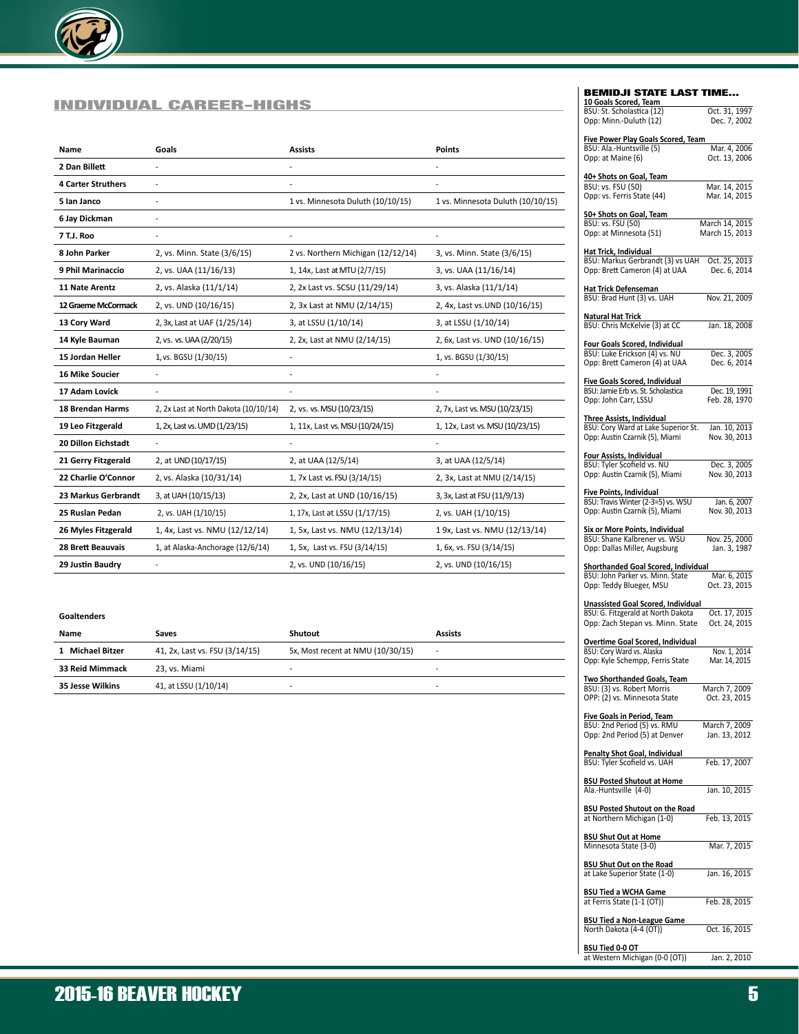

### INDIVIDUAL CAREER-HIGHS

| <b>Name</b>                | Goals                                 | <b>Assists</b>                     | <b>Points</b>                     |
|----------------------------|---------------------------------------|------------------------------------|-----------------------------------|
| 2 Dan Billett              | $\overline{a}$                        |                                    |                                   |
| <b>4 Carter Struthers</b>  | $\overline{a}$                        |                                    |                                   |
| 5 Ian Janco                | $\overline{a}$                        | 1 vs. Minnesota Duluth (10/10/15)  | 1 vs. Minnesota Duluth (10/10/15) |
| 6 Jay Dickman              |                                       |                                    |                                   |
| 7 T.J. Roo                 |                                       |                                    |                                   |
| 8 John Parker              | 2, vs. Minn. State (3/6/15)           | 2 vs. Northern Michigan (12/12/14) | 3, vs. Minn. State (3/6/15)       |
| 9 Phil Marinaccio          | 2, vs. UAA (11/16/13)                 | 1, 14x, Last at MTU (2/7/15)       | 3, vs. UAA (11/16/14)             |
| <b>11 Nate Arentz</b>      | 2, vs. Alaska (11/1/14)               | 2, 2x Last vs. SCSU (11/29/14)     | 3, vs. Alaska (11/1/14)           |
| 12 Graeme McCormack        | 2, vs. UND (10/16/15)                 | 2, 3x Last at NMU (2/14/15)        | 2, 4x, Last vs. UND (10/16/15)    |
| 13 Cory Ward               | 2, 3x, Last at UAF (1/25/14)          | 3, at LSSU (1/10/14)               | 3, at LSSU (1/10/14)              |
| 14 Kyle Bauman             | 2, vs. vs. UAA (2/20/15)              | 2, 2x, Last at NMU (2/14/15)       | 2, 6x, Last vs. UND (10/16/15)    |
| 15 Jordan Heller           | 1, vs. BGSU (1/30/15)                 |                                    | 1, vs. BGSU (1/30/15)             |
| <b>16 Mike Soucier</b>     | $\overline{a}$                        | Ĭ.                                 | ÷                                 |
| 17 Adam Lovick             | $\overline{a}$                        |                                    |                                   |
| <b>18 Brendan Harms</b>    | 2, 2x Last at North Dakota (10/10/14) | 2, vs. vs. MSU (10/23/15)          | 2, 7x, Last vs. MSU (10/23/15)    |
| 19 Leo Fitzgerald          | 1, 2x, Last vs. UMD (1/23/15)         | 1, 11x, Last vs. MSU (10/24/15)    | 1, 12x, Last vs. MSU (10/23/15)   |
| <b>20 Dillon Eichstadt</b> | $\overline{a}$                        |                                    |                                   |
| 21 Gerry Fitzgerald        | 2, at UND (10/17/15)                  | 2, at UAA (12/5/14)                | 3, at UAA (12/5/14)               |
| 22 Charlie O'Connor        | 2, vs. Alaska (10/31/14)              | 1, 7x Last vs. FSU (3/14/15)       | 2, 3x, Last at NMU (2/14/15)      |
| 23 Markus Gerbrandt        | 3, at UAH (10/15/13)                  | 2, 2x, Last at UND (10/16/15)      | 3, 3x, Last at FSU (11/9/13)      |
| 25 Ruslan Pedan            | 2, vs. UAH (1/10/15)                  | 1, 17x, Last at LSSU (1/17/15)     | 2, vs. UAH (1/10/15)              |
| 26 Myles Fitzgerald        | 1, 4x, Last vs. NMU (12/12/14)        | 1, 5x, Last vs. NMU (12/13/14)     | 1 9x, Last vs. NMU (12/13/14)     |
| <b>28 Brett Beauvais</b>   | 1, at Alaska-Anchorage (12/6/14)      | 1, 5x, Last vs. FSU (3/14/15)      | 1, 6x, vs. FSU (3/14/15)          |
| 29 Justin Baudry           |                                       | 2, vs. UND (10/16/15)              | 2, vs. UND (10/16/15)             |

### **Goaltenders**

| Name                    | Saves                          | Shutout                           | <b>Assists</b> |
|-------------------------|--------------------------------|-----------------------------------|----------------|
| 1 Michael Bitzer        | 41, 2x, Last vs. FSU (3/14/15) | 5x, Most recent at NMU (10/30/15) | ۰.             |
| 33 Reid Mimmack         | 23. vs. Miami                  |                                   |                |
| <b>35 Jesse Wilkins</b> | 41, at LSSU (1/10/14)          | -                                 |                |

### **BEMIDJI STATE LAST TIME**

| 10 Goals Scored, Team                                                  |                                  |
|------------------------------------------------------------------------|----------------------------------|
| BSU: St. Scholastica (12)<br>Opp: Minn.-Duluth (12)                    | Oct. 31, 1997<br>Dec. 7, 2002    |
| Five Power Play Goals Scored, Team                                     |                                  |
| BSU: Ala.-Huntsville (5)<br>Opp: at Maine (6)                          | Mar. 4, 2006<br>Oct. 13, 2006    |
| 40+ Shots on Goal, Team                                                |                                  |
| <b>BSU: vs. FSU (50)</b><br>Opp: vs. Ferris State (44)                 | Mar. 14, 2015<br>Mar. 14, 2015   |
| 50+ Shots on Goal, Team                                                |                                  |
| BSU: vs. FSU (50)<br>Opp: at Minnesota (51)                            | March 14, 2015<br>March 15, 2013 |
| <u>Hat Trick, Individual</u>                                           |                                  |
| BSU: Markus Gerbrandt (3) vs UAH<br>Opp: Brett Cameron (4) at UAA      | Oct. 25, 2013<br>Dec. 6, 2014    |
| Hat Trick Defenseman<br>BSU: Brad Hunt (3) vs. UAH                     | Nov. 21, 2009                    |
| Natural Hat Trick<br>BSU: Chris McKelvie (3) at CC                     | Jan. 18, 2008                    |
| Four Goals Scored, Individual                                          |                                  |
| BSU: Luke Erickson (4) vs. NU<br>Opp: Brett Cameron (4) at UAA         | Dec. 3, 2005<br>Dec. 6, 2014     |
| Five Goals Scored, Individual                                          |                                  |
| BSU: Jamie Erb vs. St. Scholastica<br>Opp: John Carr, LSSU             | Dec. 19, 1991<br>Feb. 28, 1970   |
| <b>Three Assists, Individual</b>                                       |                                  |
| BSU: Cory Ward at Lake Superior St.<br>Opp: Austin Czarnik (5), Miami  | Jan. 10, 2013<br>Nov. 30, 2013   |
| Four Assists, Individual                                               |                                  |
| BSU: Tyler Scofield vs. NU<br>Opp: Austin Czarnik (5), Miami           | Dec. 3, 2005<br>Nov. 30, 2013    |
| Five Points, Individual                                                |                                  |
| BSU: Travis Winter (2-3=5) vs. WSU<br>Opp: Austin Czarnik (5), Miami   | Jan. 6, 2007<br>Nov. 30, 2013    |
| Six or More Points, Individual                                         |                                  |
| BSU: Shane Kalbrener vs. WSU<br>Opp: Dallas Miller, Augsburg           | Nov. 25, 2000<br>Jan. 3, 1987    |
| Shorthanded Goal Scored, Individual                                    |                                  |
| BSU: John Parker vs. Minn. State<br>Opp: Teddy Blueger, MSU            | Mar. 6, 2015<br>Oct. 23, 2015    |
| Unassisted Goal Scored, Individual                                     |                                  |
| BSU: G. Fitzgerald at North Dakota<br>Opp: Zach Stepan vs. Minn. State | Oct. 17, 2015<br>Oct. 24, 2015   |
|                                                                        |                                  |
| Overtime Goal Scored, Individual<br>BSU: Cory Ward vs. Alaska          | Nov. 1, 2014                     |
| Opp: Kyle Schempp, Ferris State                                        | Mar. 14, 2015                    |
| Two Shorthanded Goals, Team                                            | March 7, 2009                    |
| BSU: (3) vs. Robert Morris<br>OPP: (2) vs. Minnesota State             | Oct. 23, 2015                    |
| Five Goals in Period, Team<br>BSU: 2nd Period (5) vs. RMU              | March 7, 2009                    |
| Opp: 2nd Period (5) at Denver                                          | Jan. 13, 2012                    |
| <b>Penalty Shot Goal, Individual</b><br>BSU: Tyler Scofield vs. UAH    | Feb. 17, 2007                    |
| <b>BSU Posted Shutout at Home</b><br>Ala.-Huntsville (4-0)             | Jan. 10, 2015                    |
| <b>BSU Posted Shutout on the Road</b><br>at Northern Michigan (1-0)    | Feb. 13, 2015                    |
| <b>BSU Shut Out at Home</b><br>Minnesota State (3-0)                   | Mar. 7, 2015                     |
| <b>BSU Shut Out on the Road</b><br>at Lake Superior State (1-0)        | Jan. 16, 2015                    |
| <b>BSU Tied a WCHA Game</b><br>at Ferris State (1-1 (OT))              | Feb. 28, 2015                    |
|                                                                        |                                  |
| <b>BSU Tied a Non-League Game</b><br>North Dakota (4-4 (OT))           | Oct. 16, 2015                    |
|                                                                        |                                  |

**BSU Tied 0-0 OT**<br>at Western Michigan (0-0 (OT)) Jan. 2, 2010

I